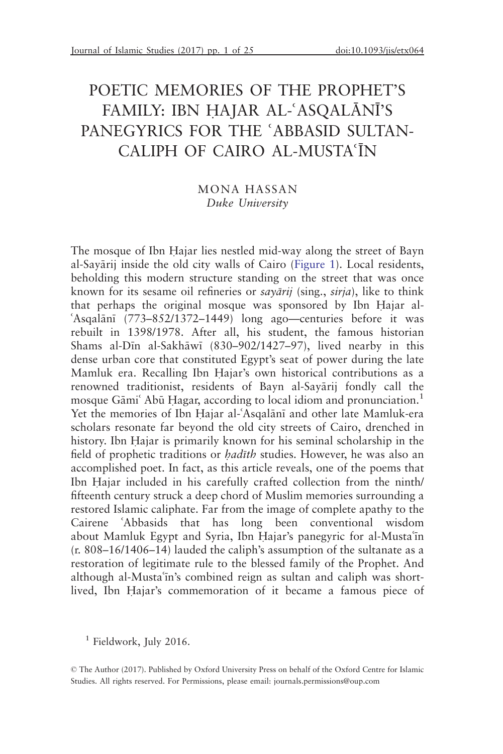# POETIC MEMORIES OF THE PROPHET'S FAMILY: IBN HAJAR AL-'ASOALĀNĪ'S PANEGYRICS FOR THE 'ABBASID SULTAN-CALIPH OF CAIRO AL-MUSTA'IN

#### MONA HASSAN Duke University

The mosque of Ibn Hajar lies nestled mid-way along the street of Bayn al-Sayārij inside the old city walls of Cairo ([Figure 1](#page-1-0)). Local residents, beholding this modern structure standing on the street that was once known for its sesame oil refineries or *sayarij* (sing., *sirja*), like to think that perhaps the original mosque was sponsored by Ibn Hajar al-'Asqalānī (773-852/1372-1449) long ago—centuries before it was rebuilt in 1398/1978. After all, his student, the famous historian Shams al-Dīn al-Sakhāwī (830–902/1427–97), lived nearby in this dense urban core that constituted Egypt's seat of power during the late Mamluk era. Recalling Ibn Eajar's own historical contributions as a renowned traditionist, residents of Bayn al-Sayarij fondly call the mosque Gāmi<sup> $\epsilon$ </sup>Abū Hagar, according to local idiom and pronunciation.<sup>1</sup> Yet the memories of Ibn Hajar al-'Asgalānī and other late Mamluk-era scholars resonate far beyond the old city streets of Cairo, drenched in history. Ibn Eajar is primarily known for his seminal scholarship in the field of prophetic traditions or *hadith* studies. However, he was also an accomplished poet. In fact, as this article reveals, one of the poems that Ibn Eajar included in his carefully crafted collection from the ninth/ fifteenth century struck a deep chord of Muslim memories surrounding a restored Islamic caliphate. Far from the image of complete apathy to the Cairene 6Abbasids that has long been conventional wisdom about Mamluk Egypt and Syria, Ibn Hajar's panegyric for al-Musta'in (r. 808–16/1406–14) lauded the caliph's assumption of the sultanate as a restoration of legitimate rule to the blessed family of the Prophet. And although al-Musta'in's combined reign as sultan and caliph was shortlived, Ibn Eajar's commemoration of it became a famous piece of

<sup>1</sup> Fieldwork, July 2016.

 The Author (2017). Published by Oxford University Press on behalf of the Oxford Centre for Islamic Studies. All rights reserved. For Permissions, please email: journals.permissions@oup.com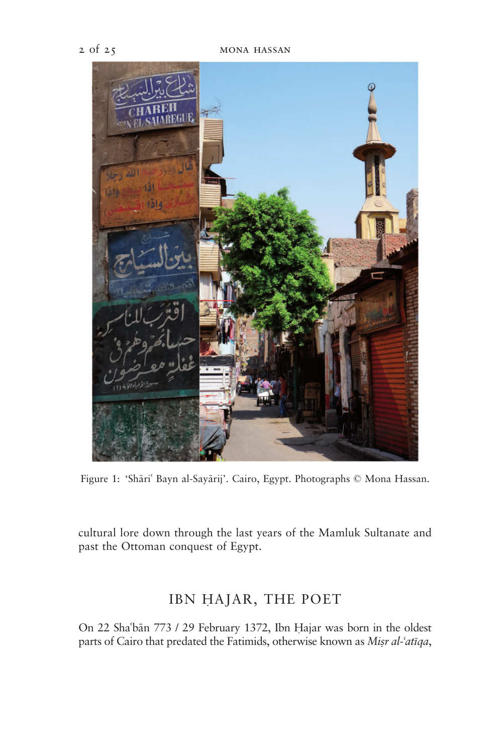<span id="page-1-0"></span>

Figure 1: 'Shāri' Bayn al-Sayārij'. Cairo, Egypt. Photographs © Mona Hassan.

cultural lore down through the last years of the Mamluk Sultanate and past the Ottoman conquest of Egypt.

## IBN HAJAR, THE POET

On 22 Sha'bān 773 / 29 February 1372, Ibn Ḥajar was born in the oldest parts of Cairo that predated the Fatimids, otherwise known as Misr al-'atīqa,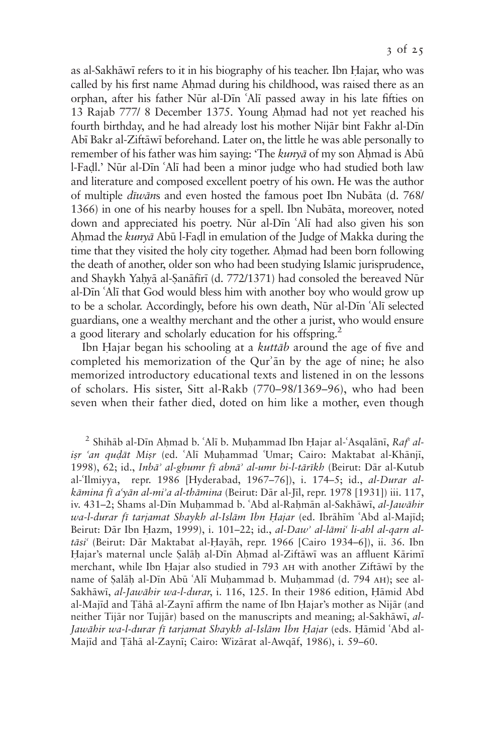as al-Sakhāwī refers to it in his biography of his teacher. Ibn Hajar, who was called by his first name AAmad during his childhood, was raised there as an orphan, after his father Nūr al-Dīn 'Alī passed away in his late fifties on 13 Rajab 777/ 8 December 1375. Young AAmad had not yet reached his fourth birthday, and he had already lost his mother Nijar bint Fakhr al-Din Abī Bakr al-Ziftāwī beforehand. Later on, the little he was able personally to remember of his father was him saying: 'The  $kunv\bar{a}$  of my son Ahmad is Abū l-Fadl.' Nūr al-Dīn 'Alī had been a minor judge who had studied both law and literature and composed excellent poetry of his own. He was the author of multiple *diwans* and even hosted the famous poet Ibn Nubata (d. 768/ 1366) in one of his nearby houses for a spell. Ibn Nubata, moreover, noted down and appreciated his poetry. Nūr al-Dīn 'Alī had also given his son Ahmad the *kunvā* Abū l-Fadl in emulation of the Judge of Makka during the time that they visited the holy city together. AAmad had been born following the death of another, older son who had been studying Islamic jurisprudence, and Shaykh Yahyā al-Sanāfīrī (d. 772/1371) had consoled the bereaved Nūr al-Din 'Ali that God would bless him with another boy who would grow up to be a scholar. Accordingly, before his own death, Nūr al-Dīn 'Alī selected guardians, one a wealthy merchant and the other a jurist, who would ensure a good literary and scholarly education for his offspring.<sup>2</sup>

Ibn Hajar began his schooling at a *kuttāb* around the age of five and completed his memorization of the Qur'an by the age of nine; he also memorized introductory educational texts and listened in on the lessons of scholars. His sister, Sitt al-Rakb (770–98/1369–96), who had been seven when their father died, doted on him like a mother, even though

<sup>2</sup> Shihāb al-Dīn Ahmad b. 'Alī b. Muhammad Ibn Hajar al-'Asqalānī, Raf<sup>e</sup> alisr 'an qudāt Misr (ed. 'Alī Muhammad 'Umar; Cairo: Maktabat al-Khānjī, 1998), 62; id., *Inbā<sup>,</sup> al-ghumr fī abnā<sup>,</sup> al-umr bi-l-tārīkh* (Beirut: Dār al-Kutub al-'Ilmiyya, repr. 1986 [Hyderabad, 1967-76]), i. 174-5; id., al-Durar alkāmina fī a'yān al-mi'a al-thāmina (Beirut: Dār al-Jīl, repr. 1978 [1931]) iii. 117, iv. 431–2; Shams al-Dīn Muhammad b. 'Abd al-Rahmān al-Sakhāwī, al-Jawāhir wa-l-durar fī tarjamat Shaykh al-Islām Ibn Hajar (ed. Ibrāhīm ʿAbd al-Majīd; Beirut: Dār Ibn Hazm, 1999), i. 101-22; id., al-Daw' al-lāmi<sup>c</sup> li-ahl al-qarn altāsi<sup>c</sup> (Beirut: Dār Maktabat al-Hayāh, repr. 1966 [Cairo 1934–6]), ii. 36. Ibn Hajar's maternal uncle Salāh al-Dīn Ahmad al-Ziftāwī was an affluent Kārimī merchant, while Ibn Hajar also studied in 793 AH with another Ziftāwī by the name of Salāh al-Dīn Abū 'Alī Muhammad b. Muhammad (d. 794 AH); see al-Sakhāwī, al-Jawāhir wa-l-durar, i. 116, 125. In their 1986 edition, Hāmid Abd al-Majīd and Tāhā al-Zaynī affirm the name of Ibn Hajar's mother as Nijār (and neither Tijār nor Tujjār) based on the manuscripts and meaning; al-Sakhāwī, al-Jawāhir wa-l-durar fī tarjamat Shaykh al-Islām Ibn Hajar (eds. Hāmid 'Abd al-Majīd and Tāhā al-Zaynī; Cairo: Wizārat al-Awqāf, 1986), i. 59–60.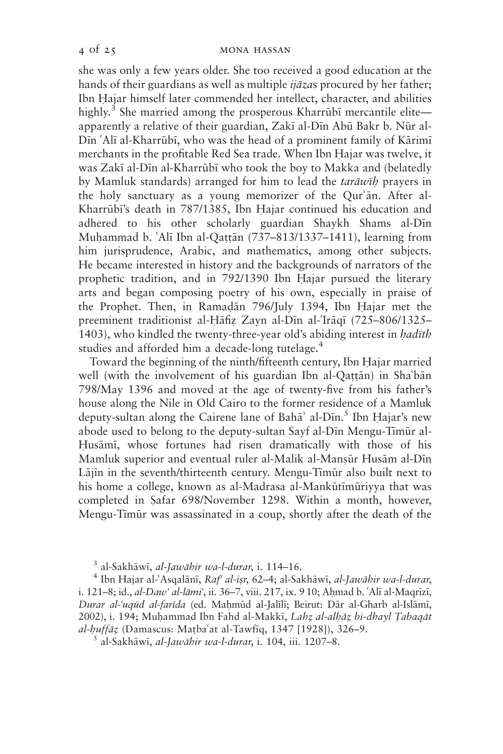she was only a few years older. She too received a good education at the hands of their guardians as well as multiple  $ij\bar{a}z$  procured by her father; Ibn Eajar himself later commended her intellect, character, and abilities highly.<sup>3</sup> She married among the prosperous Kharrubi mercantile elite apparently a relative of their guardian, Zakī al-Dīn Abū Bakr b. Nūr al-Din 'Ali al-Kharrūbi, who was the head of a prominent family of Kārimī merchants in the profitable Red Sea trade. When Ibn Hajar was twelve, it was Zakī al-Dīn al-Kharrūbī who took the boy to Makka and (belatedly by Mamluk standards) arranged for him to lead the  $\text{tar} \bar{\text{curl}}$  prayers in the holy sanctuary as a young memorizer of the Qur'an. After al-Kharrūbī's death in 787/1385, Ibn Hajar continued his education and adhered to his other scholarly guardian Shaykh Shams al-Din Muhammad b. 'Alī Ibn al-Qaṭṭān (737–813/1337–1411), learning from him jurisprudence, Arabic, and mathematics, among other subjects. He became interested in history and the backgrounds of narrators of the prophetic tradition, and in 792/1390 Ibn Eajar pursued the literary arts and began composing poetry of his own, especially in praise of the Prophet. Then, in Ramadān 796/July 1394, Ibn Hajar met the preeminent traditionist al-Hāfiz Zayn al-Dīn al-'Irāqī (725–806/1325– 1403), who kindled the twenty-three-year old's abiding interest in *hadith* studies and afforded him a decade-long tutelage.<sup>4</sup>

Toward the beginning of the ninth/fifteenth century, Ibn Eajar married well (with the involvement of his guardian Ibn al-Qattān) in Sha'bān 798/May 1396 and moved at the age of twenty-five from his father's house along the Nile in Old Cairo to the former residence of a Mamluk deputy-sultan along the Cairene lane of Baha' al-Din.<sup>5</sup> Ibn Hajar's new abode used to belong to the deputy-sultan Sayf al-Din Mengu-Timur al-Husāmī, whose fortunes had risen dramatically with those of his Mamluk superior and eventual ruler al-Malik al-Mansūr Husām al-Dīn Lājīn in the seventh/thirteenth century. Mengu-Tīmūr also built next to his home a college, known as al-Madrasa al-Mankūtīmūriyya that was completed in Safar 698/November 1298. Within a month, however, Mengu-Timur was assassinated in a coup, shortly after the death of the

<sup>3</sup> al-Sakhāwī, *al-Jawāhir wa-l-durar*, i. 114–16.<br><sup>4</sup> Ibn Hajar al-ʿAsqalānī, Raf<sup>k</sup> al-isr, 62–4; al-Sakhāwī, al-Jawāhir wa-l-durar, i. 121–8; id., al-Daw' al-lāmi', ii. 36–7, viii. 217, ix. 9 10; Ahmad b. 'Alī al-Maqrīzī, Durar al-'uqūd al-farīda (ed. Mahmūd al-Jalīlī; Beirut: Dār al-Gharb al-Islāmī, 2002), i. 194; Muhammad Ibn Fahd al-Makkī, Lahz al-alhāz bi-dhayl Tabaqāt al-*buffāz* (Damascus: Matba<sup>6</sup>at al-Tawfiq, 1347 [1928]), 326–9.<br><sup>5</sup> al-Sakhāwī, *al-Jawābir wa-l-durar*, i. 104, iii. 1207–8.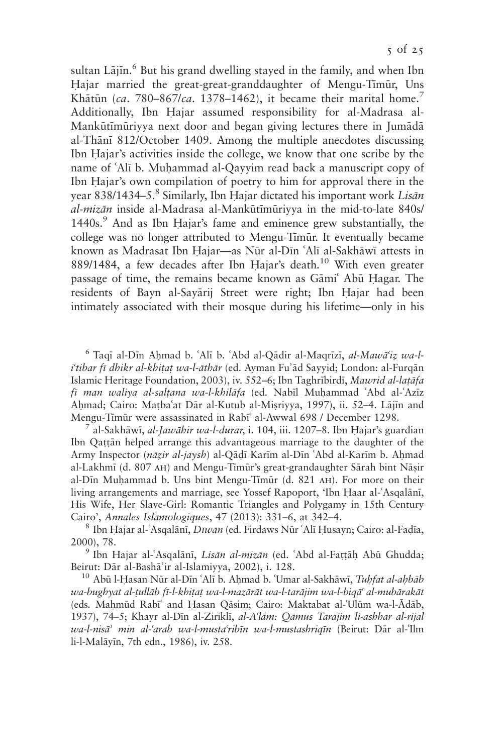sultan Lajin.<sup>6</sup> But his grand dwelling stayed in the family, and when Ibn Hajar married the great-great-granddaughter of Mengu-Timur, Uns Khātūn (ca. 780–867/ca. 1378–1462), it became their marital home.<sup>7</sup> Additionally, Ibn Eajar assumed responsibility for al-Madrasa al-Mankūtīmūriyya next door and began giving lectures there in Jumādā al-Thānī 812/October 1409. Among the multiple anecdotes discussing Ibn Eajar's activities inside the college, we know that one scribe by the name of 'Ali b. Muhammad al-Qayyim read back a manuscript copy of Ibn Eajar's own compilation of poetry to him for approval there in the year  $838/1434-5$ .<sup>8</sup> Similarly, Ibn Hajar dictated his important work Lisān al-mizān inside al-Madrasa al-Mankūtīmūriyya in the mid-to-late 840s/  $1440s<sup>9</sup>$  And as Ibn Hajar's fame and eminence grew substantially, the college was no longer attributed to Mengu-Timur. It eventually became known as Madrasat Ibn Hajar—as Nūr al-Dīn 'Alī al-Sakhāwī attests in 889/1484, a few decades after Ibn Hajar's death.<sup>10</sup> With even greater passage of time, the remains became known as Gāmi<sup>6</sup> Abū Hagar. The residents of Bayn al-Sayārij Street were right; Ibn Hajar had been intimately associated with their mosque during his lifetime—only in his

 $6$  Taqī al-Dīn Ahmad b. 'Alī b. 'Abd al-Qādir al-Maqrīzī, al-Mawā'iz wa-li'tibar fī dhikr al-khitat wa-l-āthār (ed. Ayman Fu'ād Sayyid; London: al-Furqān Islamic Heritage Foundation, 2003), iv. 552–6; Ibn Taghrībirdī, Mawrid al-lațāfa fī man waliya al-saltana wa-l-khilāfa (ed. Nabīl Muhammad 'Abd al-'Azīz Ahmad; Cairo: Mațba'at Dār al-Kutub al-Mișriyya, 1997), ii. 52–4. Lājīn and Mengu-Timūr were assassinated in Rabī<sup>'</sup> al-Awwal 698 / December 1298.<br><sup>7</sup> al-Sakhāwī, *al-Jawāhir wa-l-durar*, i. 104, iii. 1207–8. Ibn Hajar's guardian

Ibn Qattān helped arrange this advantageous marriage to the daughter of the Army Inspector (*nāzir al-jaysh*) al-Qādī Karīm al-Dīn ʿAbd al-Karīm b. Ahmad al-Lakhmī (d. 807 AH) and Mengu-Tīmūr's great-grandaughter Sārah bint Nāșir al-Din Muhammad b. Uns bint Mengu-Timūr  $(d, 821 \text{ AH})$ . For more on their living arrangements and marriage, see Yossef Rapoport, 'Ibn Haar al-'Asqalānī, His Wife, Her Slave-Girl: Romantic Triangles and Polygamy in 15th Century Cairo', Annales Islamologiques, 47 (2013): 331–6, at 342–4.<br><sup>8</sup> Ibn Hajar al-ʿAsqalānī, *Dīwān* (ed. Firdaws Nūr ʿAlī Ḥusayn; Cairo: al-Faḍīa,

2000), 78.<br><sup>9</sup> Ibn Hajar al-ʿAsqalānī, *Lisān al-mizān* (ed. ʿAbd al-Fattāh Abū Ghudda;

Beirut: Dār al-Bashā'ir al-Islamiyya, 2002), i. 128.<br><sup>10</sup> Abū l-Hasan Nūr al-Dīn ʿAlī b. Ahmad b. ʿUmar al-Sakhāwī, *Tuhfat al-ahbāb* 

wa-bughyat al-tullāb fī-l-khitat wa-l-mazārāt wa-l-tarājim wa-l-biqā<sup>s</sup> al-mubārakāt (eds. Mahmūd Rabī' and Hasan Qāsim; Cairo: Maktabat al-'Ulūm wa-l-Ādāb, 1937), 74–5; Khayr al-Dīn al-Ziriklī, al-A'lām: Qāmūs Tarājim li-ashhar al-rijāl wa-l-nisā<sup>,</sup> min al-'arab wa-l-musta'ribīn wa-l-mustashriqīn (Beirut: Dār al-'Ilm li-l-Malāyīn, 7th edn., 1986), iv. 258.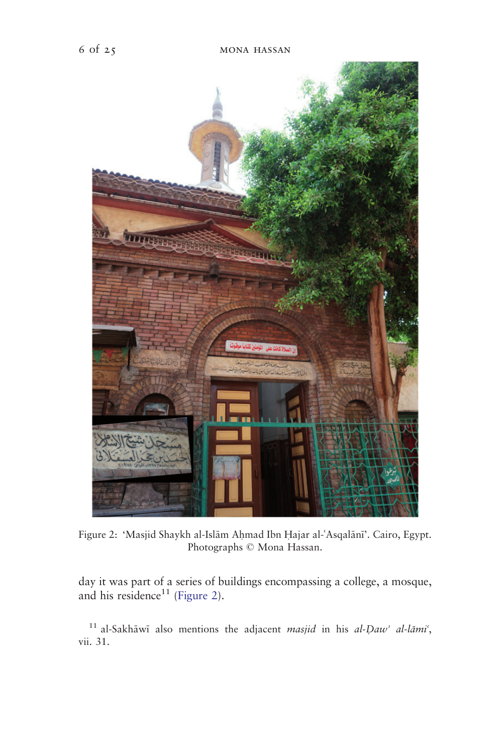

Figure 2: 'Masjid Shaykh al-Islām Aḥmad Ibn Ḥajar al-ʿAsqalānī'. Cairo, Egypt. Photographs © Mona Hassan.

day it was part of a series of buildings encompassing a college, a mosque, and his residence $^{11}$  (Figure 2).

<sup>11</sup> al-Sakhāwī also mentions the adjacent *masjid* in his al-Daw' al-lāmi', vii. 31.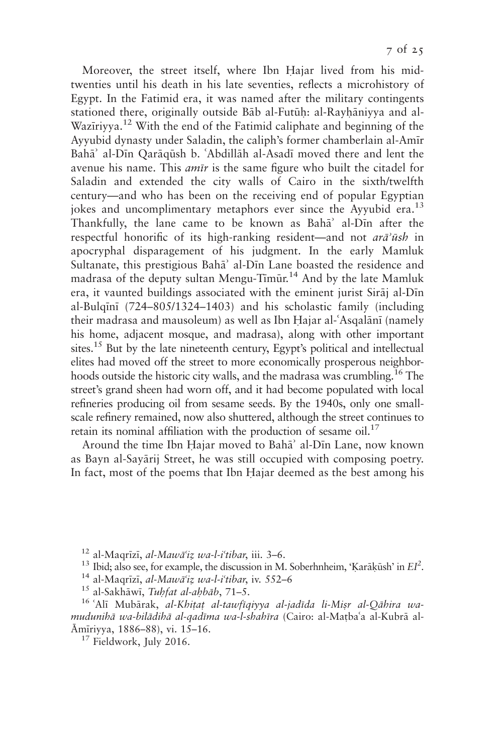Moreover, the street itself, where Ibn Eajar lived from his midtwenties until his death in his late seventies, reflects a microhistory of Egypt. In the Fatimid era, it was named after the military contingents stationed there, originally outside Bab al-Futūh: al-Rayhāniyya and al-Wazīriyya.<sup>12</sup> With the end of the Fatimid caliphate and beginning of the Ayyubid dynasty under Saladin, the caliph's former chamberlain al-Amir Bahā' al-Dīn Qarāqūsh b. 'Abdillāh al-Asadī moved there and lent the avenue his name. This *amīr* is the same figure who built the citadel for Saladin and extended the city walls of Cairo in the sixth/twelfth century—and who has been on the receiving end of popular Egyptian jokes and uncomplimentary metaphors ever since the Ayyubid era.<sup>13</sup> Thankfully, the lane came to be known as Baha<sup>3</sup> al-D<sub>I</sub>n after the respectful honorific of its high-ranking resident—and not  $a r \bar{a}'$  ish in apocryphal disparagement of his judgment. In the early Mamluk Sultanate, this prestigious Baha<sup>3</sup> al-Din Lane boasted the residence and madrasa of the deputy sultan Mengu-Timūr.<sup>14</sup> And by the late Mamluk era, it vaunted buildings associated with the eminent jurist Siraj al-Din al-Bulg $\overline{a}$  (724–805/1324–1403) and his scholastic family (including their madrasa and mausoleum) as well as Ibn Hajar al-'Asqalānī (namely his home, adjacent mosque, and madrasa), along with other important sites.<sup>15</sup> But by the late nineteenth century, Egypt's political and intellectual elites had moved off the street to more economically prosperous neighborhoods outside the historic city walls, and the madrasa was crumbling.<sup>16</sup> The street's grand sheen had worn off, and it had become populated with local refineries producing oil from sesame seeds. By the 1940s, only one smallscale refinery remained, now also shuttered, although the street continues to retain its nominal affiliation with the production of sesame oil.<sup>17</sup>

Around the time Ibn Hajar moved to Baha<sup>3</sup> al-Din Lane, now known as Bayn al-Sayarij Street, he was still occupied with composing poetry. In fact, most of the poems that Ibn Eajar deemed as the best among his

- <sup>12</sup> al-Maqrīzī, *al-Mawā'iz wa-l-i'tibar*, iii. 3–6.<br><sup>13</sup> Ibid; also see, for example, the discussion in M. Soberhnheim, 'Karāķūsh' in EI<sup>2</sup><br><sup>14</sup> al-Magrīzī, *al-Mawā'iz wa li'tibar in 552.*
- 
- 

<sup>14</sup> al-Maqrīzī, *al-Mawāʻiz wa-l-iʻtibar*, iv. 552–6<br><sup>15</sup> al-Sakhāwī, *Tuhfat al-ahbāb*, 71–5.<br><sup>16</sup> ʿAlī Mubārak, *al-Khitat al-tawfīqiyya al-jadīda li-Misr al-Qāhira wa*mudunihā wa-bilādihā al-qadīma wa-l-shahīra (Cairo: al-Matbaʿa al-Kubrā al-<sup>2</sup>m;riyya, 1886–88), vi. 15–16. <sup>17</sup> Fieldwork, July 2016.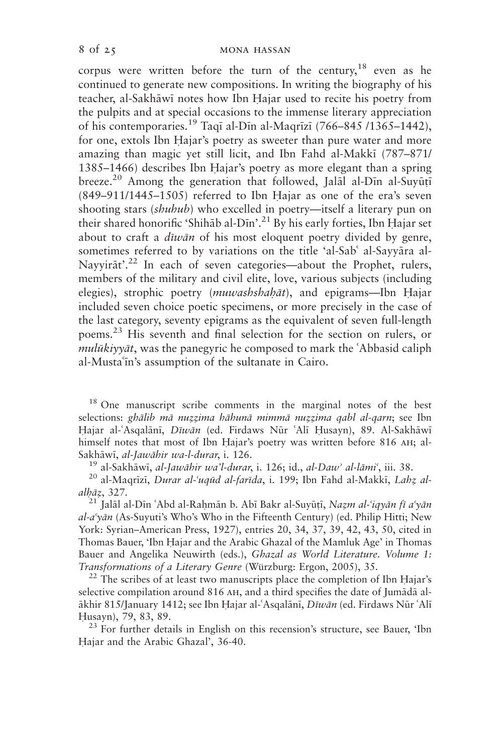corpus were written before the turn of the century,<sup>18</sup> even as he continued to generate new compositions. In writing the biography of his teacher, al-Sakhāwī notes how Ibn Hajar used to recite his poetry from the pulpits and at special occasions to the immense literary appreciation of his contemporaries.<sup>19</sup> Taqī al-Dīn al-Maqrīzī (766–845/1365–1442), for one, extols Ibn Hajar's poetry as sweeter than pure water and more amazing than magic yet still licit, and Ibn Fahd al-Makki (787–871/ 1385–1466) describes Ibn Eajar's poetry as more elegant than a spring breeze.<sup>20</sup> Among the generation that followed, Jala al-D<sub>I</sub>n al-Suyuti (849–911/1445–1505) referred to Ibn Eajar as one of the era's seven shooting stars (shuhub) who excelled in poetry—itself a literary pun on their shared honorific 'Shihāb al-Dīn'.<sup>21</sup> By his early forties, Ibn Hajar set about to craft a  $d\bar{u}w\bar{a}n$  of his most eloquent poetry divided by genre, sometimes referred to by variations on the title 'al-Sab' al-Sayyara al-Nayyirāt'.<sup>22</sup> In each of seven categories—about the Prophet, rulers, members of the military and civil elite, love, various subjects (including elegies), strophic poetry  $(muwashshahāt)$ , and epigrams—Ibn Hajar included seven choice poetic specimens, or more precisely in the case of the last category, seventy epigrams as the equivalent of seven full-length poems.<sup>23</sup> His seventh and final selection for the section on rulers, or  $muliikivv\bar{a}t$ , was the panegyric he composed to mark the 'Abbasid caliph al-Musta'in's assumption of the sultanate in Cairo.

<sup>18</sup> One manuscript scribe comments in the marginal notes of the best selections: ghālib mā nuzzima hāhunā mimmā nuzzima gabl al-qarn; see Ibn Hajar al-'Asqalānī, Dīwān (ed. Firdaws Nūr 'Alī Husayn), 89. Al-Sakhāwī himself notes that most of Ibn Hajar's poetry was written before 816 AH; al-

Sakhāwī, *al-Jawāhir wa-l-durar*, i. 126.<br><sup>19</sup> al-Sakhāwī, *al-Jawāhir wa'l-durar*, i. 126; id., *al-Daw' al-lāmi*<sup>6</sup>, iii. 38.<br><sup>20</sup> al-Maqrīzī, *Durar al-<sup>6</sup>uqūd al-farīda*, i. 199; Ibn Fahd al-Makkī, *Lahz al-<br><i>alhāz*, 3

<sup>21</sup> Jalāl al-Dīn ʿAbd al-Rahmān b. Abī Bakr al-Suyūțī, Nazm al-'iqyān fī a'yān  $aI-a'v\bar{a}n$  (As-Suyuti's Who's Who in the Fifteenth Century) (ed. Philip Hitti; New York: Syrian–American Press, 1927), entries 20, 34, 37, 39, 42, 43, 50, cited in Thomas Bauer, 'Ibn Eajar and the Arabic Ghazal of the Mamluk Age' in Thomas Bauer and Angelika Neuwirth (eds.), Ghazal as World Literature. Volume 1: Transformations of a Literary Genre (Würzburg: Ergon, 2005), 35.<br><sup>22</sup> The scribes of at least two manuscripts place the completion of Ibn Hajar's

selective compilation around 816 AH, and a third specifies the date of Jumādā alākhir 815/January 1412; see Ibn Hajar al-ʿAsqalānī, Dīwān (ed. Firdaws Nūr ʿAlī Eusayn), 79, 83, 89.

<sup>23</sup> For further details in English on this recension's structure, see Bauer, 'Ibn Eajar and the Arabic Ghazal', 36-40.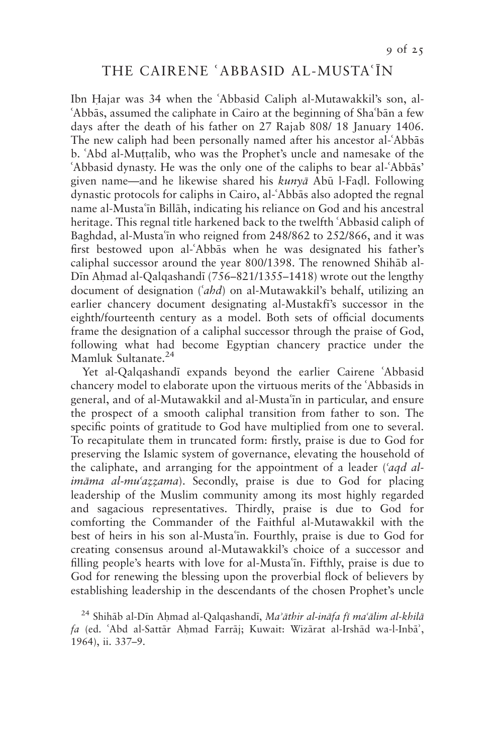### THE CAIRENE 'ABBASID AL-MUSTA'IN

Ibn Hajar was 34 when the 'Abbasid Caliph al-Mutawakkil's son, al-'Abbās, assumed the caliphate in Cairo at the beginning of Sha'bān a few days after the death of his father on 27 Rajab 808/ 18 January 1406. The new caliph had been personally named after his ancestor al-'Abbas b. 'Abd al-Muttalib, who was the Prophet's uncle and namesake of the 'Abbasid dynasty. He was the only one of the caliphs to bear al-'Abbas' given name—and he likewise shared his  $\frac{k u}{v}$  Abu l-Fadl. Following dynastic protocols for caliphs in Cairo, al-'Abbās also adopted the regnal name al-Musta<sup>c</sup>in Billāh, indicating his reliance on God and his ancestral heritage. This regnal title harkened back to the twelfth 'Abbasid caliph of Baghdad, al-Musta'in who reigned from 248/862 to 252/866, and it was first bestowed upon al-'Abbas when he was designated his father's caliphal successor around the year 800/1398. The renowned Shihab al-Din Ahmad al-Qalqashandi (756–821/1355–1418) wrote out the lengthy document of designation (*ahd*) on al-Mutawakkil's behalf, utilizing an earlier chancery document designating al-Mustakfi's successor in the eighth/fourteenth century as a model. Both sets of official documents frame the designation of a caliphal successor through the praise of God, following what had become Egyptian chancery practice under the Mamluk Sultanate.<sup>24</sup>

Yet al-Qalqashandi expands beyond the earlier Cairene 'Abbasid chancery model to elaborate upon the virtuous merits of the 'Abbasids in general, and of al-Mutawakkil and al-Musta'in in particular, and ensure the prospect of a smooth caliphal transition from father to son. The specific points of gratitude to God have multiplied from one to several. To recapitulate them in truncated form: firstly, praise is due to God for preserving the Islamic system of governance, elevating the household of the caliphate, and arranging for the appointment of a leader *('agd alimāma al-mu'azzama*). Secondly, praise is due to God for placing leadership of the Muslim community among its most highly regarded and sagacious representatives. Thirdly, praise is due to God for comforting the Commander of the Faithful al-Mutawakkil with the best of heirs in his son al-Musta'in. Fourthly, praise is due to God for creating consensus around al-Mutawakkil's choice of a successor and filling people's hearts with love for al-Musta'in. Fifthly, praise is due to God for renewing the blessing upon the proverbial flock of believers by establishing leadership in the descendants of the chosen Prophet's uncle

<sup>24</sup> Shihāb al-Dīn Aḥmad al-Qalqashandī, Ma'āthir al-ināfa fī ma'ālim al-khilā fa (ed. 'Abd al-Sattār Ahmad Farrāj; Kuwait: Wizārat al-Irshād wa-l-Inbā', 1964), ii. 337–9.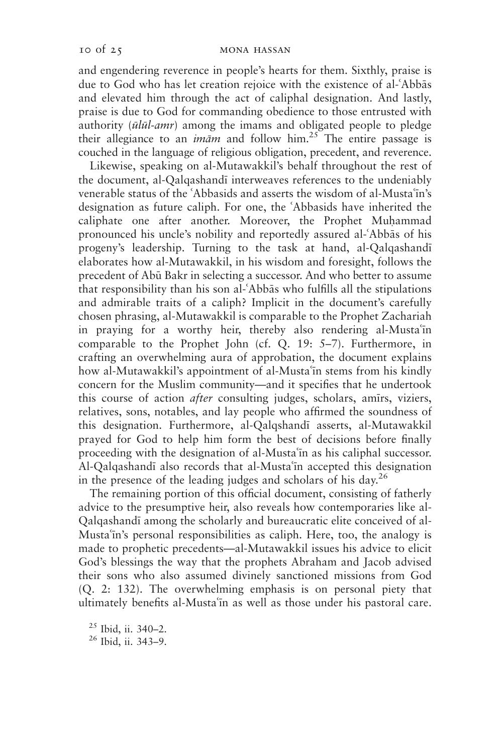#### 10 of 25 mona hassan

and engendering reverence in people's hearts for them. Sixthly, praise is due to God who has let creation rejoice with the existence of al-*Abbas* and elevated him through the act of caliphal designation. And lastly, praise is due to God for commanding obedience to those entrusted with authority  $(\bar{u}l\bar{u}l-amr)$  among the imams and obligated people to pledge their allegiance to an  $\lim_{m \to \infty}$  and follow him.<sup>25</sup> The entire passage is couched in the language of religious obligation, precedent, and reverence.

Likewise, speaking on al-Mutawakkil's behalf throughout the rest of the document, al-Qalqashand; interweaves references to the undeniably venerable status of the 'Abbasids and asserts the wisdom of al-Musta'in's designation as future caliph. For one, the 'Abbasids have inherited the caliphate one after another. Moreover, the Prophet Muhammad pronounced his uncle's nobility and reportedly assured al-'Abbas of his progeny's leadership. Turning to the task at hand, al-Qalqashand; elaborates how al-Mutawakkil, in his wisdom and foresight, follows the precedent of Abū Bakr in selecting a successor. And who better to assume that responsibility than his son al-'Abbas who fulfills all the stipulations and admirable traits of a caliph? Implicit in the document's carefully chosen phrasing, al-Mutawakkil is comparable to the Prophet Zachariah in praying for a worthy heir, thereby also rendering al-Musta'in comparable to the Prophet John (cf. Q. 19: 5–7). Furthermore, in crafting an overwhelming aura of approbation, the document explains how al-Mutawakkil's appointment of al-Musta'in stems from his kindly concern for the Muslim community—and it specifies that he undertook this course of action *after* consulting judges, scholars, amirs, viziers, relatives, sons, notables, and lay people who affirmed the soundness of this designation. Furthermore, al-Qalqshand; asserts, al-Mutawakkil prayed for God to help him form the best of decisions before finally proceeding with the designation of al-Musta'in as his caliphal successor. Al-Qalqashandī also records that al-Musta'in accepted this designation in the presence of the leading judges and scholars of his day. $^{26}$ 

The remaining portion of this official document, consisting of fatherly advice to the presumptive heir, also reveals how contemporaries like al-Qalqashand; among the scholarly and bureaucratic elite conceived of al-Musta'in's personal responsibilities as caliph. Here, too, the analogy is made to prophetic precedents—al-Mutawakkil issues his advice to elicit God's blessings the way that the prophets Abraham and Jacob advised their sons who also assumed divinely sanctioned missions from God (Q. 2: 132). The overwhelming emphasis is on personal piety that ultimately benefits al-Musta'in as well as those under his pastoral care.

 $^{25}$  Ibid, ii. 340–2.<br><sup>26</sup> Ibid, ii. 343–9.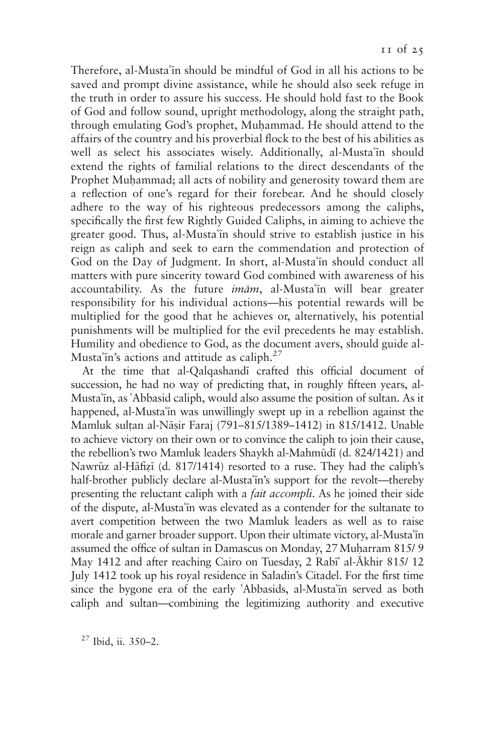Therefore, al-Musta'in should be mindful of God in all his actions to be saved and prompt divine assistance, while he should also seek refuge in the truth in order to assure his success. He should hold fast to the Book of God and follow sound, upright methodology, along the straight path, through emulating God's prophet, Muhammad. He should attend to the affairs of the country and his proverbial flock to the best of his abilities as well as select his associates wisely. Additionally, al-Musta'in should extend the rights of familial relations to the direct descendants of the Prophet Muhammad; all acts of nobility and generosity toward them are a reflection of one's regard for their forebear. And he should closely adhere to the way of his righteous predecessors among the caliphs, specifically the first few Rightly Guided Caliphs, in aiming to achieve the greater good. Thus, al-Musta'in should strive to establish justice in his reign as caliph and seek to earn the commendation and protection of God on the Day of Judgment. In short, al-Musta'in should conduct all matters with pure sincerity toward God combined with awareness of his accountability. As the future  $im\bar{a}m$ , al-Musta $\bar{m}$  will bear greater responsibility for his individual actions—his potential rewards will be multiplied for the good that he achieves or, alternatively, his potential punishments will be multiplied for the evil precedents he may establish. Humility and obedience to God, as the document avers, should guide al-Musta'in's actions and attitude as caliph.<sup>27</sup>

At the time that al-Qalqashand; crafted this official document of succession, he had no way of predicting that, in roughly fifteen years, al-Musta'in, as 'Abbasid caliph, would also assume the position of sultan. As it happened, al-Musta<sup>'</sup>in was unwillingly swept up in a rebellion against the Mamluk sultan al-Nāsir Faraj (791–815/1389–1412) in 815/1412. Unable to achieve victory on their own or to convince the caliph to join their cause, the rebellion's two Mamluk leaders Shaykh al-Mahmūdī (d. 824/1421) and Nawrūz al-Hāfizī (d. 817/1414) resorted to a ruse. They had the caliph's half-brother publicly declare al-Musta'in's support for the revolt—thereby presenting the reluctant caliph with a *fait accompli*. As he joined their side of the dispute, al-Musta'in was elevated as a contender for the sultanate to avert competition between the two Mamluk leaders as well as to raise morale and garner broader support. Upon their ultimate victory, al-Musta'in assumed the office of sultan in Damascus on Monday, 27 Muharram 815/9 May 1412 and after reaching Cairo on Tuesday, 2 Rabi al-Ākhir 815/ 12 July 1412 took up his royal residence in Saladin's Citadel. For the first time since the bygone era of the early 'Abbasids, al-Musta'in served as both caliph and sultan—combining the legitimizing authority and executive

 $27$  Ibid, ii. 350–2.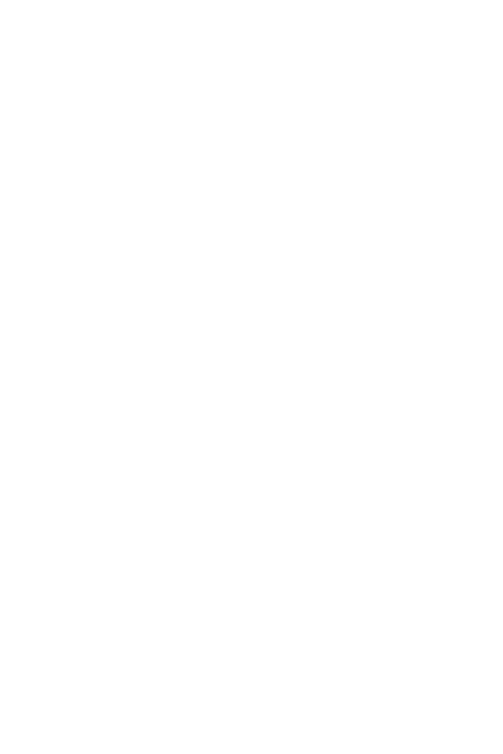# POETIC MEMORIES OF THE PROPHET'S FAMILY: IBN HAJAR AL-'ASOALĀNĪ'S PANEGYRICS FOR THE 'ABBASID SULTAN-CALIPH OF CAIRO AL-MUSTA'IN

#### **MONA HASSAN** Duke University

The mosque of Ibn Hajar lies nestled mid-way along the street of Bayn al-Sayārij inside the old city walls of Cairo (Figure 1). Local residents, beholding this modern structure standing on the street that was once known for its sesame oil refineries or *sayarij* (sing., *sirja*), like to think that perhaps the original mosque was sponsored by Ibn Hajar al-'Asgalānī (773-852/1372-1449) long ago-centuries before it was rebuilt in 1398/1978. After all, his student, the famous historian Shams al-Din al-Sakhāwī (830-902/1427-97), lived nearby in this dense urban core that constituted Egypt's seat of power during the late Mamluk era. Recalling Ibn Hajar's own historical contributions as a renowned traditionist, residents of Bayn al-Sayarij fondly call the mosque Gāmi<sup>c</sup> Abū Hagar, according to local idiom and pronunciation.<sup>1</sup> Yet the memories of Ibn Hajar al-'Asgalani and other late Mamluk-era scholars resonate far beyond the old city streets of Cairo, drenched in history. Ibn Hajar is primarily known for his seminal scholarship in the field of prophetic traditions or *hadith* studies. However, he was also an accomplished poet. In fact, as this article reveals, one of the poems that Ibn Hajar included in his carefully crafted collection from the ninth/ fifteenth century struck a deep chord of Muslim memories surrounding a restored Islamic caliphate. Far from the image of complete apathy to the Cairene 'Abbasids that has long been conventional wisdom about Mamluk Egypt and Syria, Ibn Hajar's panegyric for al-Musta'in  $(r. 808-16/1406-14)$  lauded the caliph's assumption of the sultanate as a restoration of legitimate rule to the blessed family of the Prophet. And although al-Musta'in's combined reign as sultan and caliph was shortlived, Ibn Hajar's commemoration of it became a famous piece of

 $<sup>1</sup>$  Fieldwork, July 2016.</sup>

The Author (2017). Published by Oxford University Press on behalf of the Oxford Centre for Islamic Studies. All rights reserved. For Permissions, please email: journals.permissions@oup.com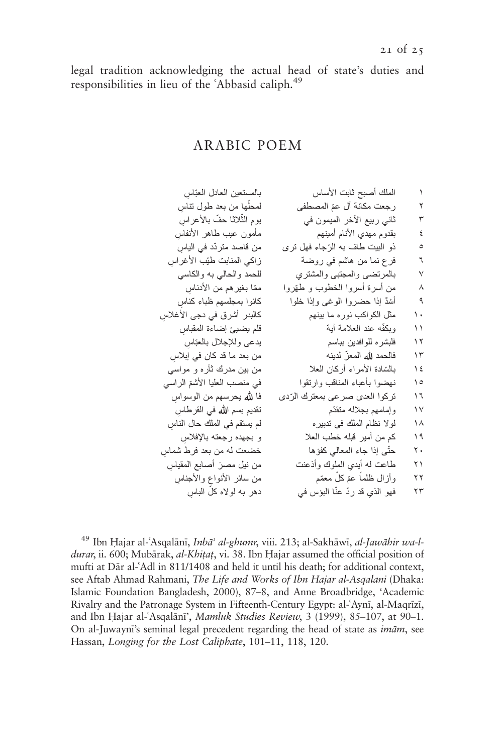legal tradition acknowledging the actual head of state's duties and responsibilities in lieu of the 'Abbasid caliph.<sup>49</sup>

### ARABIC POEM

١ الملك أصبح ثابت الأساسبالمستعين العادل العبّاسِ<br>لمحلّها من بعد طول نناس ٢ رجعت مكانة آل عمّ المصطفى<br>٣ ثاني ر بيع الآخر الميمون في ٣ ثاني ربيع الآخر الميمون فييوم الثّلاثا حفّ بالأعراس ٤ بقدوم مهدي الأنام أمينهممأمون عيب طاهر الأنفاسِ<br>من قاصد متردّد في الياس ٥ ذو البيت طاف به ال ّرجاء فهل ترى ِ من قاصد مترّدد في الياس ٦ فرع نما من هاشم في روضة زاكي المنابت طنّيب الأغرا.<br>٧ بالمرتضـي والمحبّنبي والمشتري للحمد والحالبي به والكاسي بالمرتضى والمجتبى والمشتري ٨ من أسرة أسروا الخطوب و طّهروا ِ مّما بغيرهم من الأدناس أسْدٌ إذا حضر وا الوغى وإذا خلوا ١٠ مثل الكواكب نوره ما بينهم ِ كالبدر أشرق في دجى الأغلاس ١١ وبكفّه عند العلامة أية ِ قلم يضيئ إضاءة المقباس ١٢ فلبشره للوافدين بباسم ِ يدعى وللإجلال بالعّباس ١٣ فالحمد المعّز لدينه ِ من بعد ما قد كان في إبلاس ١٤ بالسّادة الأمراء أركان العلا من بين مدرك ثأره و مواسي في مو<br>١٥ نهضوا بأعباء المناقب وارتقوا في منصب العليا الأشعّ الراسي ١٥ ٪ نهضوا بأعباء المناقب وارتقوا ١٦ تركوا العدى صرعى بمعترك الرّدى فا للّه يحرسهم من الوسواسِ<br>١٧ وامامهم بحلاله متقدّم ١٧ وإمامهم بجلاله متقّدمتقديم بسم الله في القرطاس ١٨ لولا نظام الملك في تدبيره ِ لم يستقم في الملك حال الناس ١٩ كم من أمير قبله خطب العلا ِ و بجهده رجعته بالإفلاس تى إذا جاء المعالي كفؤها خضعت له من بعد فرط شما ِس ٢٠ حتَّى إذا جاء المعالى كفؤها ٢١ طاعت له أيدي الملوك وأذعنتمن نيل مصرَ أصابع المقياسِ<br>من سائر الأنواع والأجناس ٢٢ وأزال ظلماً عمّ كلّ معقم ٢٣ فهو الذي قد رّد عّنا البؤس فيدهر به لولاه كلّ الباس

<sup>49</sup> Ibn Hajar al-ʿAsqalānī, *Inbā<sup>,</sup> al-ghumr*, viii. 213; al-Sakhāwī, *al-Jawāhir wa-l*durar, ii. 600; Mubārak, al-Khitat, vi. 38. Ibn Hajar assumed the official position of mufti at Dār al-'Adl in 811/1408 and held it until his death; for additional context, see Aftab Ahmad Rahmani, The Life and Works of Ibn Hajar al-Asgalani (Dhaka: Islamic Foundation Bangladesh, 2000), 87–8, and Anne Broadbridge, 'Academic Rivalry and the Patronage System in Fifteenth-Century Egypt: al-'Aynī, al-Maqrīzī, and Ibn Hajar al-'Asqalānī', Mamlūk Studies Review, 3 (1999), 85–107, at 90–1. On al-Juwayni's seminal legal precedent regarding the head of state as *imām*, see Hassan, Longing for the Lost Caliphate, 101–11, 118, 120.